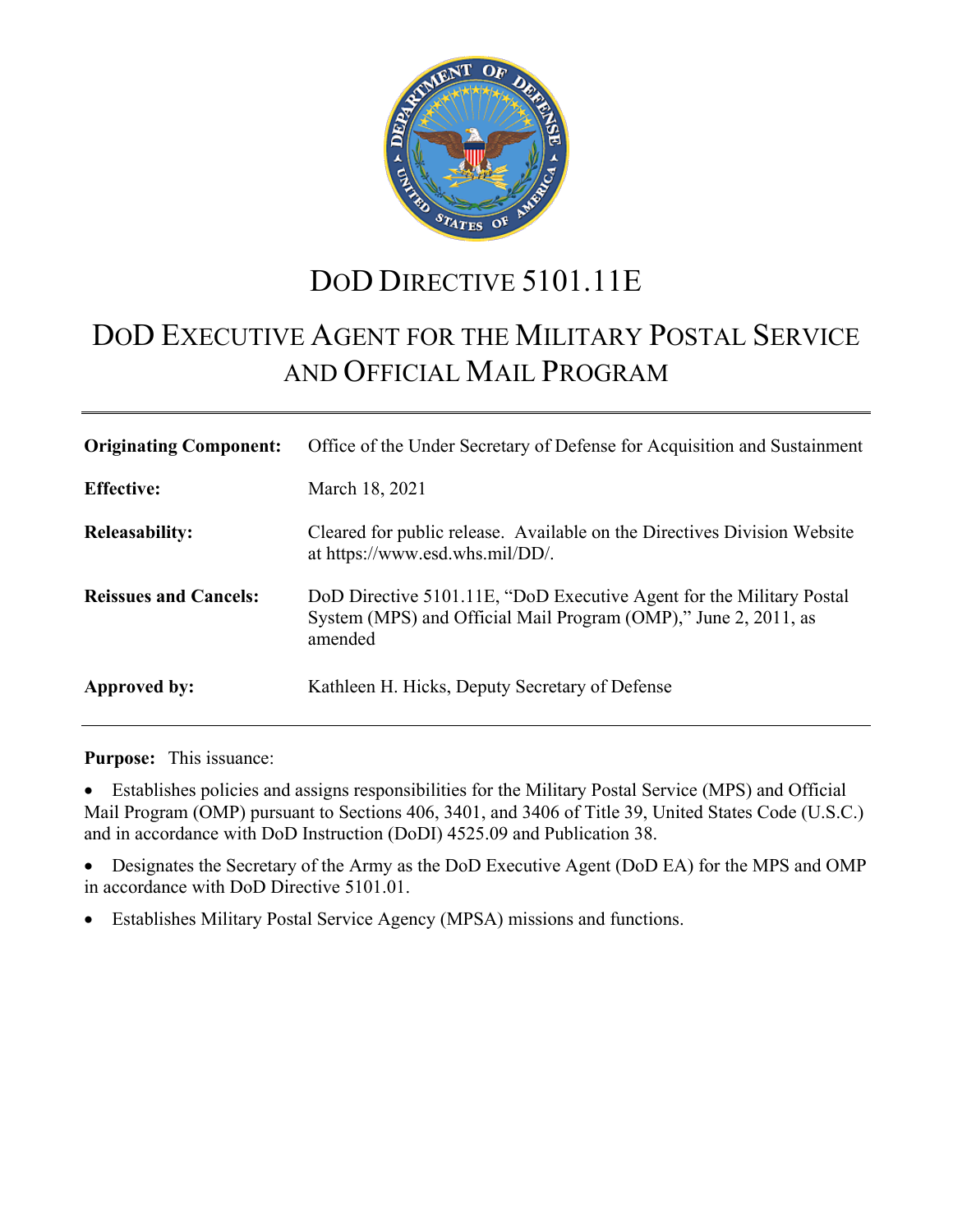

# DOD DIRECTIVE 5101.11E

# DOD EXECUTIVE AGENT FOR THE MILITARY POSTAL SERVICE AND OFFICIAL MAIL PROGRAM

| <b>Originating Component:</b> | Office of the Under Secretary of Defense for Acquisition and Sustainment                                                                           |
|-------------------------------|----------------------------------------------------------------------------------------------------------------------------------------------------|
| <b>Effective:</b>             | March 18, 2021                                                                                                                                     |
| <b>Releasability:</b>         | Cleared for public release. Available on the Directives Division Website<br>at https://www.esd.whs.mil/DD/.                                        |
| <b>Reissues and Cancels:</b>  | DoD Directive 5101.11E, "DoD Executive Agent for the Military Postal<br>System (MPS) and Official Mail Program (OMP)," June 2, 2011, as<br>amended |
| Approved by:                  | Kathleen H. Hicks, Deputy Secretary of Defense                                                                                                     |

**Purpose:** This issuance:

• Establishes policies and assigns responsibilities for the Military Postal Service (MPS) and Official Mail Program (OMP) pursuant to Sections 406, 3401, and 3406 of Title 39, United States Code (U.S.C.) and in accordance with DoD Instruction (DoDI) 4525.09 and Publication 38.

• Designates the Secretary of the Army as the DoD Executive Agent (DoD EA) for the MPS and OMP in accordance with DoD Directive 5101.01.

• Establishes Military Postal Service Agency (MPSA) missions and functions.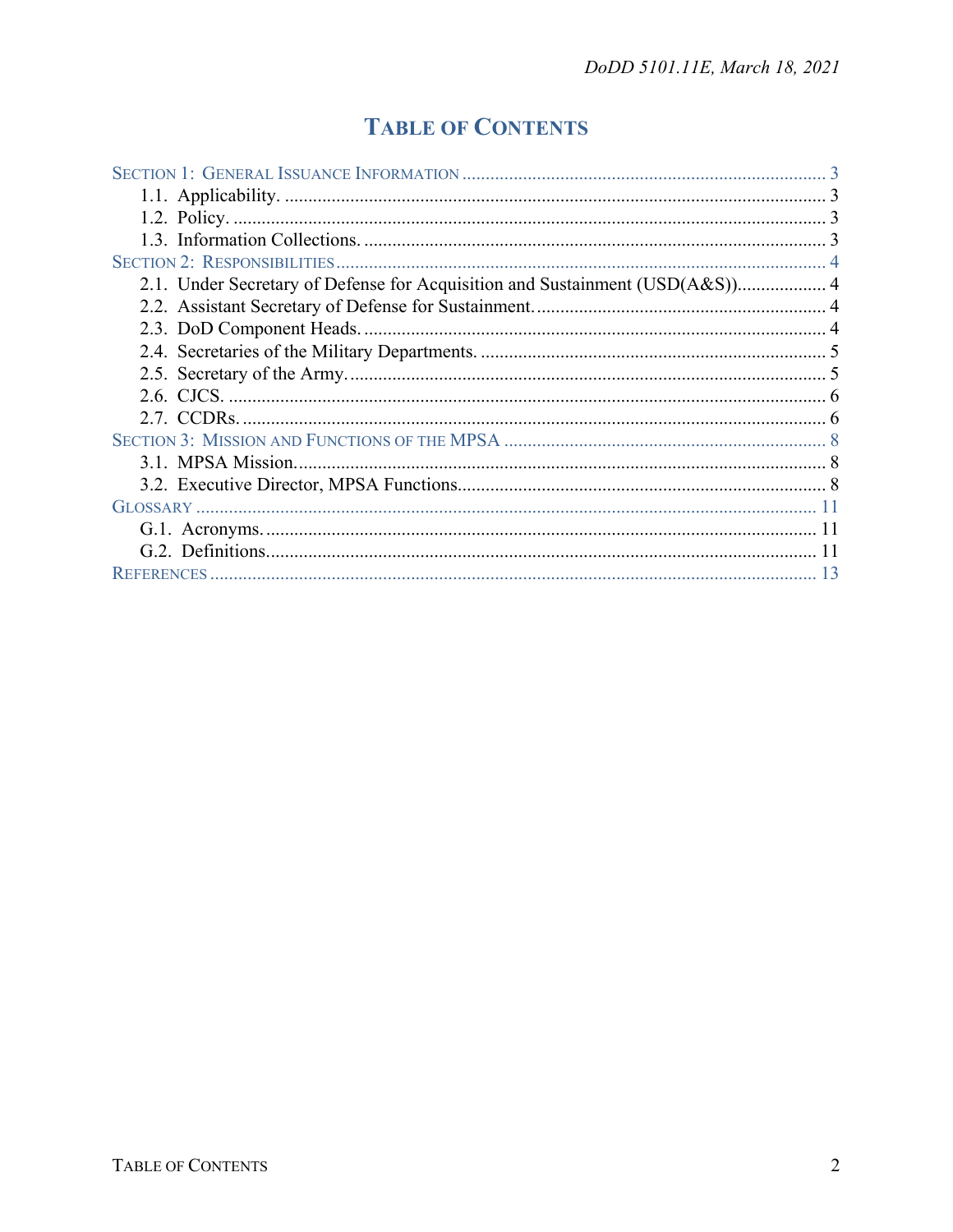## **TABLE OF CONTENTS**

| 2.1. Under Secretary of Defense for Acquisition and Sustainment (USD(A&S)) 4 |  |
|------------------------------------------------------------------------------|--|
|                                                                              |  |
|                                                                              |  |
|                                                                              |  |
|                                                                              |  |
|                                                                              |  |
|                                                                              |  |
|                                                                              |  |
|                                                                              |  |
|                                                                              |  |
|                                                                              |  |
|                                                                              |  |
|                                                                              |  |
|                                                                              |  |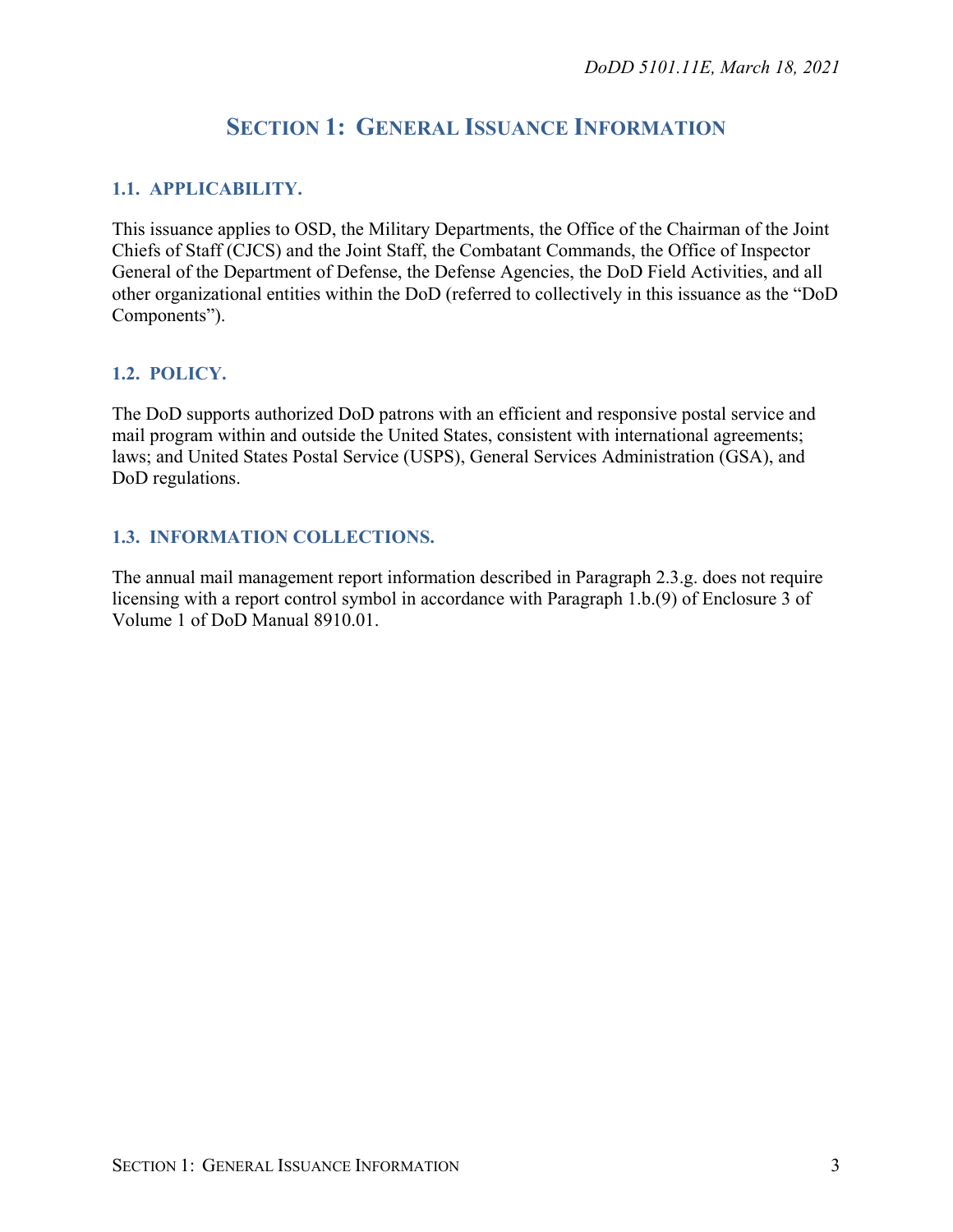## **SECTION 1: GENERAL ISSUANCE INFORMATION**

## <span id="page-2-1"></span><span id="page-2-0"></span>**1.1. APPLICABILITY.**

This issuance applies to OSD, the Military Departments, the Office of the Chairman of the Joint Chiefs of Staff (CJCS) and the Joint Staff, the Combatant Commands, the Office of Inspector General of the Department of Defense, the Defense Agencies, the DoD Field Activities, and all other organizational entities within the DoD (referred to collectively in this issuance as the "DoD Components").

### <span id="page-2-2"></span>**1.2. POLICY.**

The DoD supports authorized DoD patrons with an efficient and responsive postal service and mail program within and outside the United States, consistent with international agreements; laws; and United States Postal Service (USPS), General Services Administration (GSA), and DoD regulations.

### <span id="page-2-3"></span>**1.3. INFORMATION COLLECTIONS.**

The annual mail management report information described in Paragraph 2.3.g. does not require licensing with a report control symbol in accordance with Paragraph 1.b.(9) of Enclosure 3 of Volume 1 of DoD Manual 8910.01.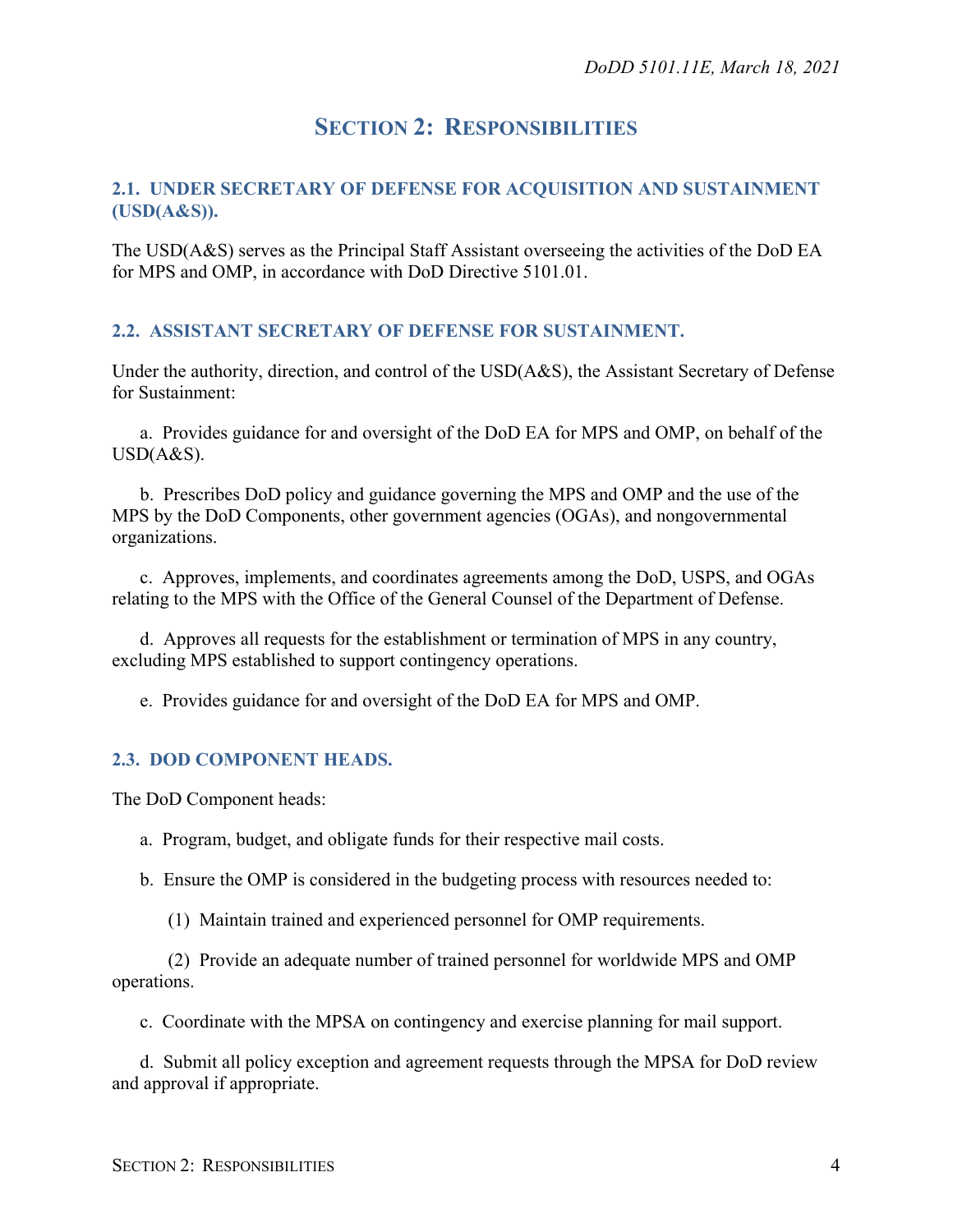## **SECTION 2: RESPONSIBILITIES**

#### <span id="page-3-1"></span><span id="page-3-0"></span>**2.1. UNDER SECRETARY OF DEFENSE FOR ACQUISITION AND SUSTAINMENT (USD(A&S)).**

The USD(A&S) serves as the Principal Staff Assistant overseeing the activities of the DoD EA for MPS and OMP, in accordance with DoD Directive 5101.01.

#### <span id="page-3-2"></span>**2.2. ASSISTANT SECRETARY OF DEFENSE FOR SUSTAINMENT.**

Under the authority, direction, and control of the USD(A&S), the Assistant Secretary of Defense for Sustainment:

a. Provides guidance for and oversight of the DoD EA for MPS and OMP, on behalf of the USD(A&S).

b. Prescribes DoD policy and guidance governing the MPS and OMP and the use of the MPS by the DoD Components, other government agencies (OGAs), and nongovernmental organizations.

c. Approves, implements, and coordinates agreements among the DoD, USPS, and OGAs relating to the MPS with the Office of the General Counsel of the Department of Defense.

d. Approves all requests for the establishment or termination of MPS in any country, excluding MPS established to support contingency operations.

e. Provides guidance for and oversight of the DoD EA for MPS and OMP.

#### <span id="page-3-3"></span>**2.3. DOD COMPONENT HEADS.**

The DoD Component heads:

a. Program, budget, and obligate funds for their respective mail costs.

b. Ensure the OMP is considered in the budgeting process with resources needed to:

(1) Maintain trained and experienced personnel for OMP requirements.

(2) Provide an adequate number of trained personnel for worldwide MPS and OMP operations.

c. Coordinate with the MPSA on contingency and exercise planning for mail support.

d. Submit all policy exception and agreement requests through the MPSA for DoD review and approval if appropriate.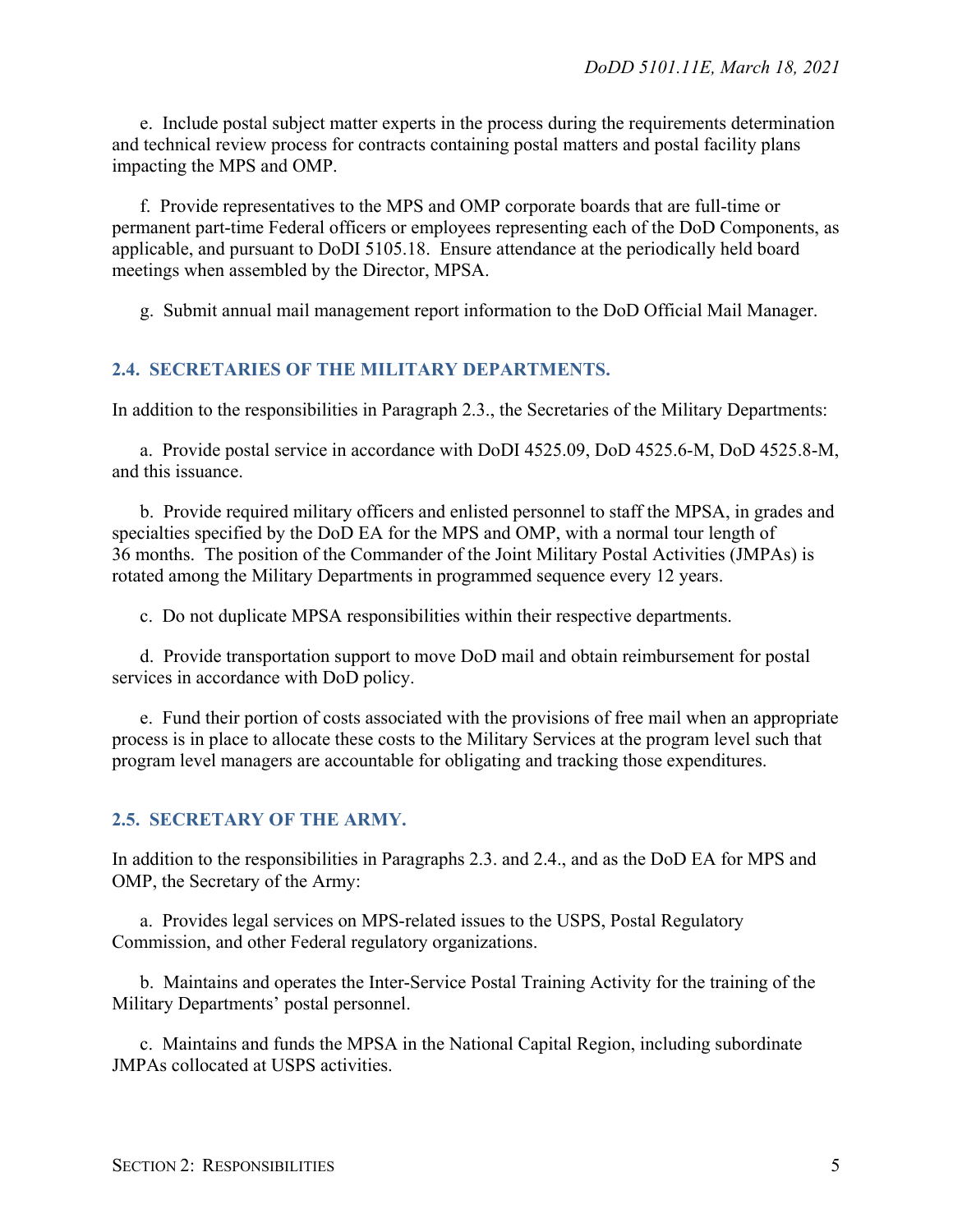e. Include postal subject matter experts in the process during the requirements determination and technical review process for contracts containing postal matters and postal facility plans impacting the MPS and OMP.

f. Provide representatives to the MPS and OMP corporate boards that are full-time or permanent part-time Federal officers or employees representing each of the DoD Components, as applicable, and pursuant to DoDI 5105.18. Ensure attendance at the periodically held board meetings when assembled by the Director, MPSA.

g. Submit annual mail management report information to the DoD Official Mail Manager.

#### <span id="page-4-0"></span>**2.4. SECRETARIES OF THE MILITARY DEPARTMENTS.**

In addition to the responsibilities in Paragraph 2.3., the Secretaries of the Military Departments:

a. Provide postal service in accordance with DoDI 4525.09, DoD 4525.6-M, DoD 4525.8-M, and this issuance.

b. Provide required military officers and enlisted personnel to staff the MPSA, in grades and specialties specified by the DoD EA for the MPS and OMP, with a normal tour length of 36 months. The position of the Commander of the Joint Military Postal Activities (JMPAs) is rotated among the Military Departments in programmed sequence every 12 years.

c. Do not duplicate MPSA responsibilities within their respective departments.

d. Provide transportation support to move DoD mail and obtain reimbursement for postal services in accordance with DoD policy.

e. Fund their portion of costs associated with the provisions of free mail when an appropriate process is in place to allocate these costs to the Military Services at the program level such that program level managers are accountable for obligating and tracking those expenditures.

#### <span id="page-4-1"></span>**2.5. SECRETARY OF THE ARMY.**

In addition to the responsibilities in Paragraphs 2.3. and 2.4., and as the DoD EA for MPS and OMP, the Secretary of the Army:

a. Provides legal services on MPS-related issues to the USPS, Postal Regulatory Commission, and other Federal regulatory organizations.

b. Maintains and operates the Inter-Service Postal Training Activity for the training of the Military Departments' postal personnel.

c. Maintains and funds the MPSA in the National Capital Region, including subordinate JMPAs collocated at USPS activities.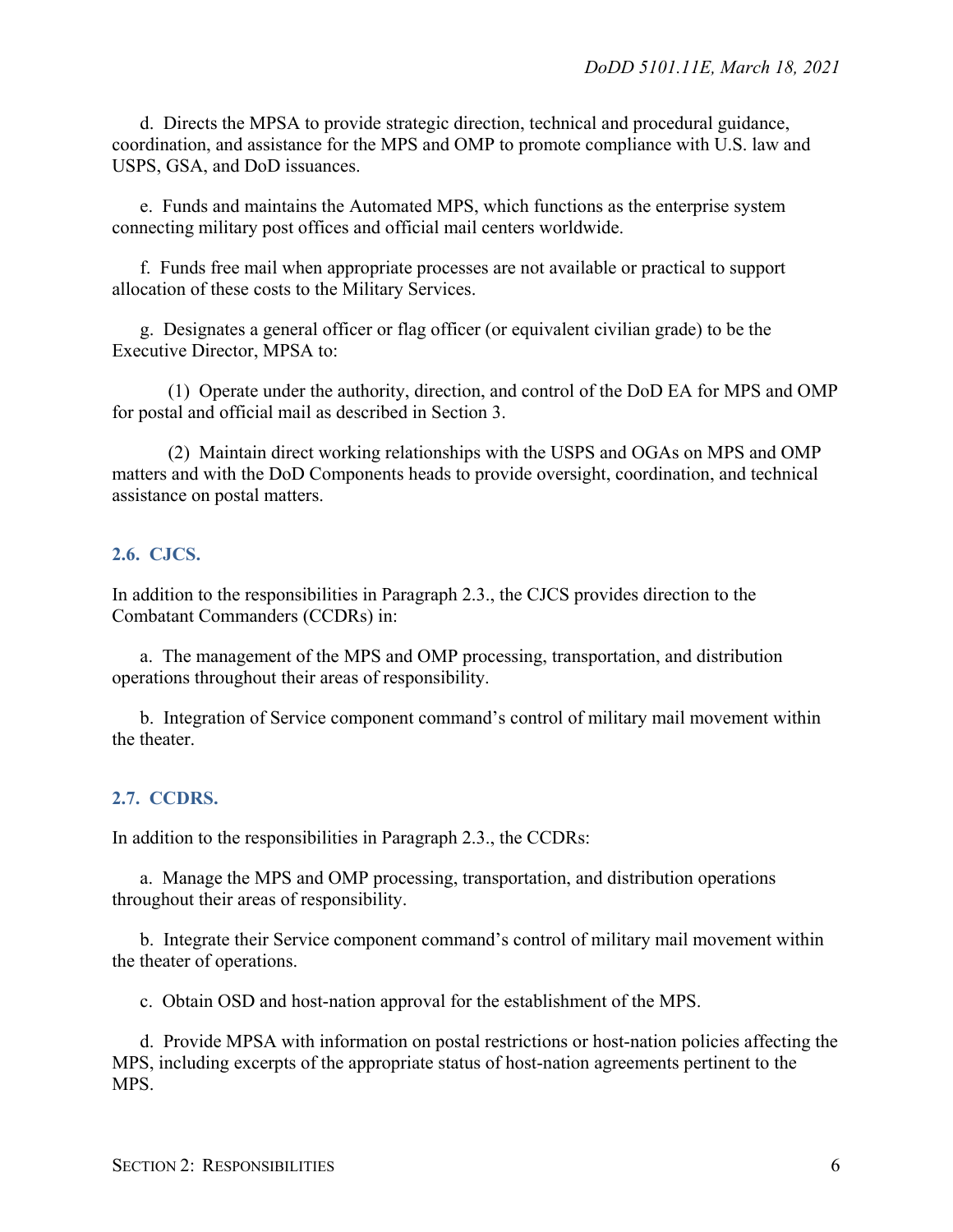d. Directs the MPSA to provide strategic direction, technical and procedural guidance, coordination, and assistance for the MPS and OMP to promote compliance with U.S. law and USPS, GSA, and DoD issuances.

e. Funds and maintains the Automated MPS, which functions as the enterprise system connecting military post offices and official mail centers worldwide.

f. Funds free mail when appropriate processes are not available or practical to support allocation of these costs to the Military Services.

g. Designates a general officer or flag officer (or equivalent civilian grade) to be the Executive Director, MPSA to:

(1) Operate under the authority, direction, and control of the DoD EA for MPS and OMP for postal and official mail as described in Section 3.

(2) Maintain direct working relationships with the USPS and OGAs on MPS and OMP matters and with the DoD Components heads to provide oversight, coordination, and technical assistance on postal matters.

#### <span id="page-5-0"></span>**2.6. CJCS.**

In addition to the responsibilities in Paragraph 2.3., the CJCS provides direction to the Combatant Commanders (CCDRs) in:

a. The management of the MPS and OMP processing, transportation, and distribution operations throughout their areas of responsibility.

b. Integration of Service component command's control of military mail movement within the theater.

#### <span id="page-5-1"></span>**2.7. CCDRS.**

In addition to the responsibilities in Paragraph 2.3., the CCDRs:

a. Manage the MPS and OMP processing, transportation, and distribution operations throughout their areas of responsibility.

b. Integrate their Service component command's control of military mail movement within the theater of operations.

c. Obtain OSD and host-nation approval for the establishment of the MPS.

d. Provide MPSA with information on postal restrictions or host-nation policies affecting the MPS, including excerpts of the appropriate status of host-nation agreements pertinent to the MPS.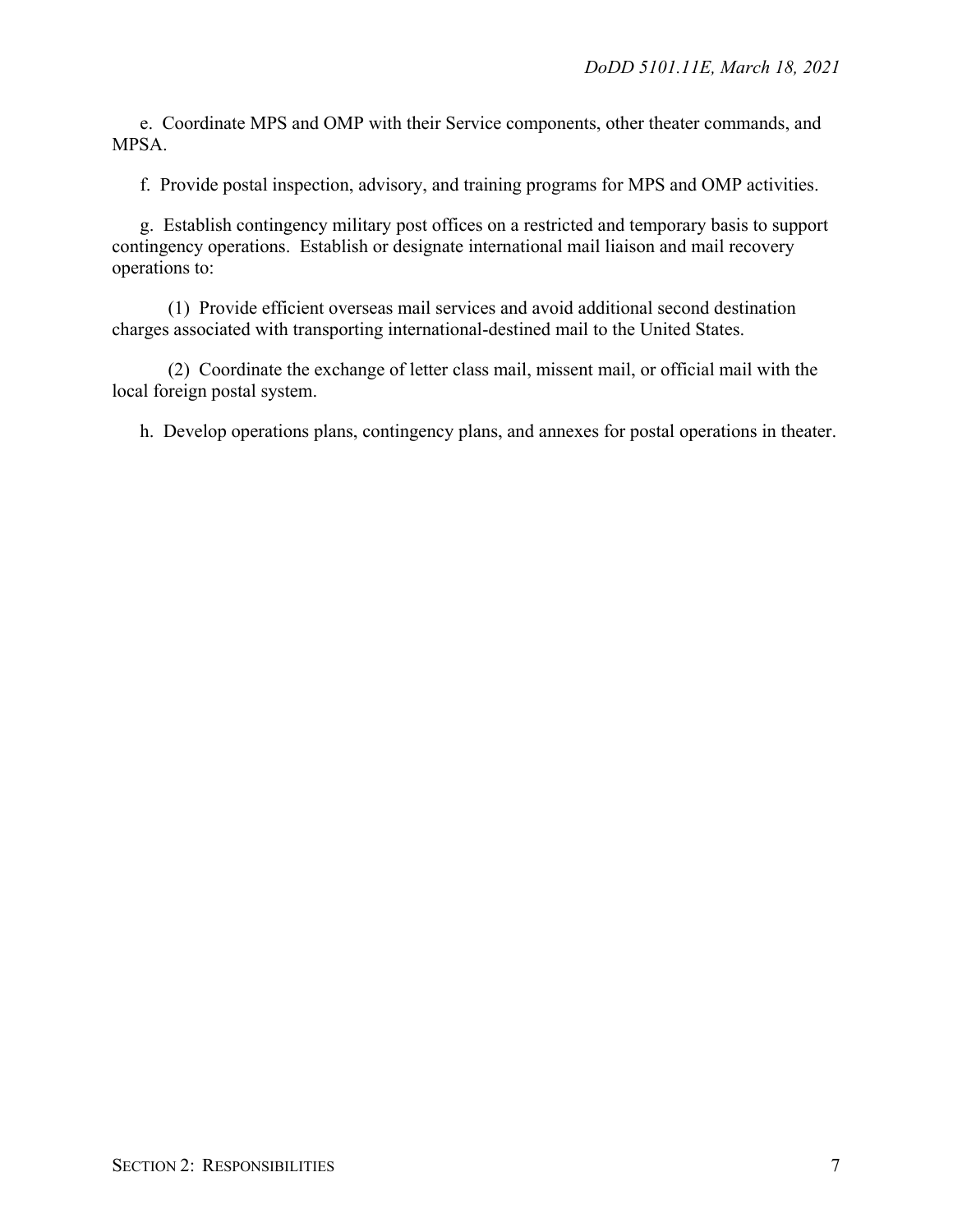e. Coordinate MPS and OMP with their Service components, other theater commands, and MPSA.

f. Provide postal inspection, advisory, and training programs for MPS and OMP activities.

g. Establish contingency military post offices on a restricted and temporary basis to support contingency operations. Establish or designate international mail liaison and mail recovery operations to:

(1) Provide efficient overseas mail services and avoid additional second destination charges associated with transporting international-destined mail to the United States.

(2) Coordinate the exchange of letter class mail, missent mail, or official mail with the local foreign postal system.

h. Develop operations plans, contingency plans, and annexes for postal operations in theater.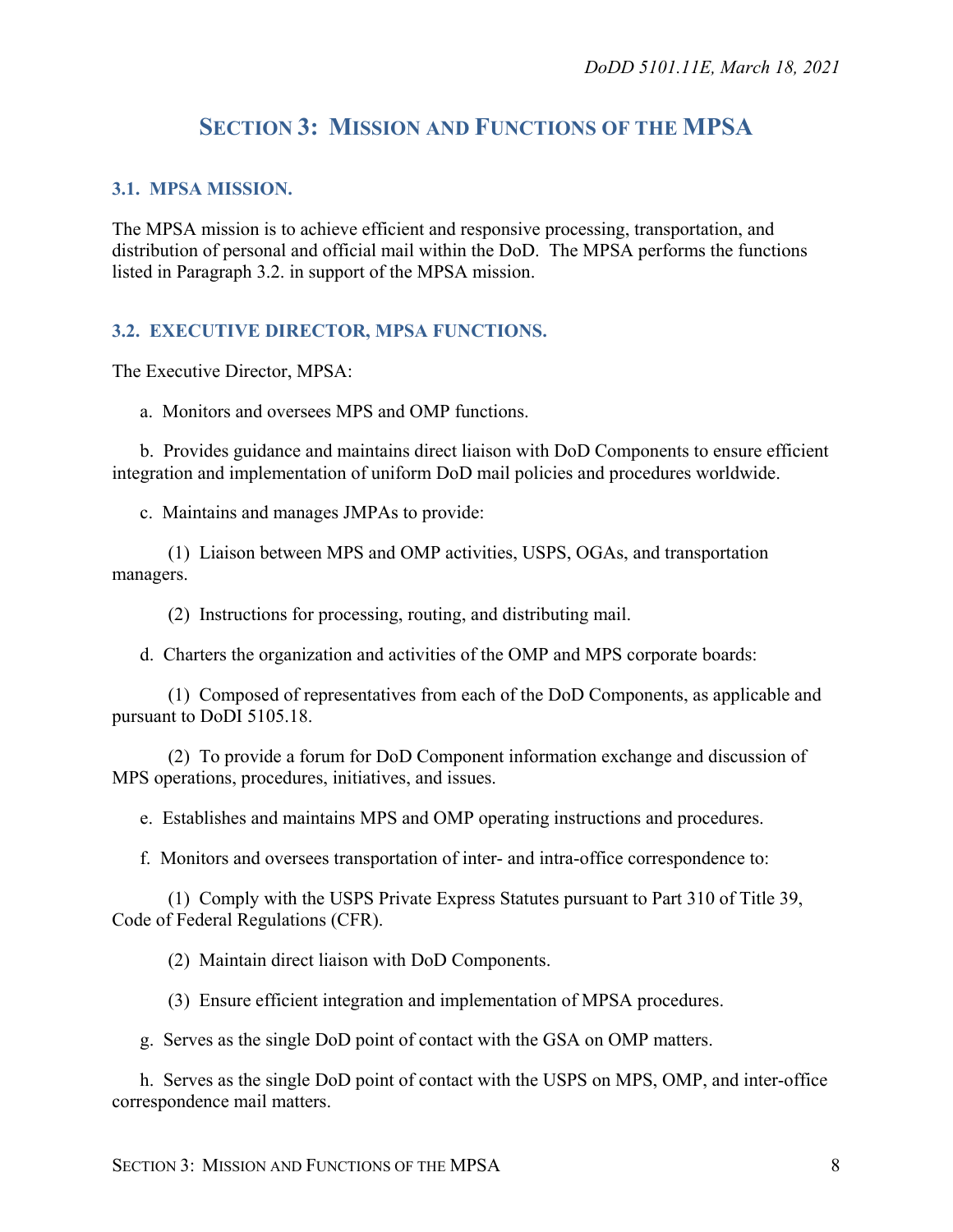## **SECTION 3: MISSION AND FUNCTIONS OF THE MPSA**

#### <span id="page-7-1"></span><span id="page-7-0"></span>**3.1. MPSA MISSION.**

The MPSA mission is to achieve efficient and responsive processing, transportation, and distribution of personal and official mail within the DoD. The MPSA performs the functions listed in Paragraph 3.2. in support of the MPSA mission.

#### <span id="page-7-2"></span>**3.2. EXECUTIVE DIRECTOR, MPSA FUNCTIONS.**

The Executive Director, MPSA:

a. Monitors and oversees MPS and OMP functions.

b. Provides guidance and maintains direct liaison with DoD Components to ensure efficient integration and implementation of uniform DoD mail policies and procedures worldwide.

c. Maintains and manages JMPAs to provide:

(1) Liaison between MPS and OMP activities, USPS, OGAs, and transportation managers.

(2) Instructions for processing, routing, and distributing mail.

d. Charters the organization and activities of the OMP and MPS corporate boards:

(1) Composed of representatives from each of the DoD Components, as applicable and pursuant to DoDI 5105.18.

(2) To provide a forum for DoD Component information exchange and discussion of MPS operations, procedures, initiatives, and issues.

e. Establishes and maintains MPS and OMP operating instructions and procedures.

f. Monitors and oversees transportation of inter- and intra-office correspondence to:

(1) Comply with the USPS Private Express Statutes pursuant to Part 310 of Title 39, Code of Federal Regulations (CFR).

(2) Maintain direct liaison with DoD Components.

(3) Ensure efficient integration and implementation of MPSA procedures.

g. Serves as the single DoD point of contact with the GSA on OMP matters.

h. Serves as the single DoD point of contact with the USPS on MPS, OMP, and inter-office correspondence mail matters.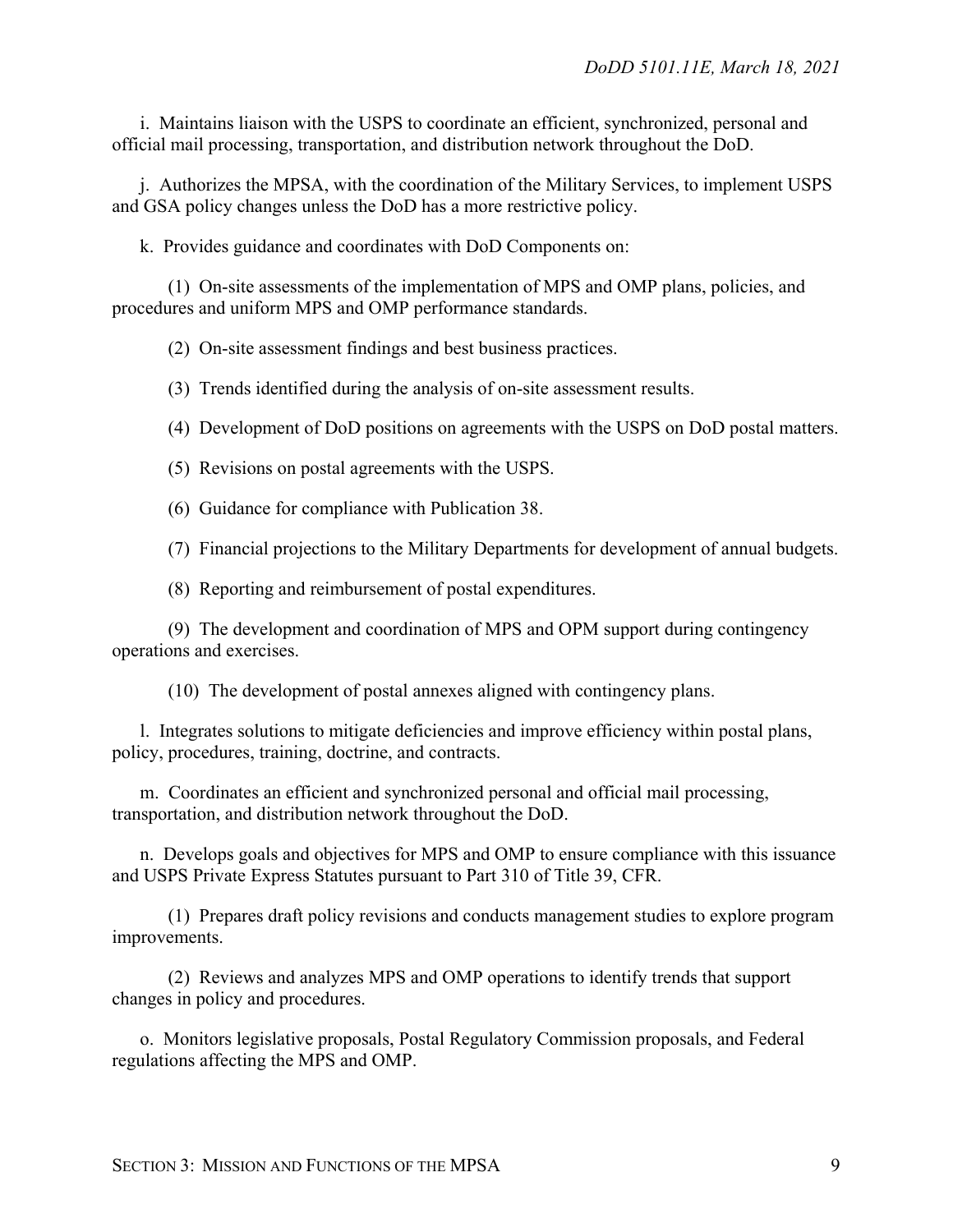i. Maintains liaison with the USPS to coordinate an efficient, synchronized, personal and official mail processing, transportation, and distribution network throughout the DoD.

j. Authorizes the MPSA, with the coordination of the Military Services, to implement USPS and GSA policy changes unless the DoD has a more restrictive policy.

k. Provides guidance and coordinates with DoD Components on:

(1) On-site assessments of the implementation of MPS and OMP plans, policies, and procedures and uniform MPS and OMP performance standards.

(2) On-site assessment findings and best business practices.

(3) Trends identified during the analysis of on-site assessment results.

(4) Development of DoD positions on agreements with the USPS on DoD postal matters.

(5) Revisions on postal agreements with the USPS.

(6) Guidance for compliance with Publication 38.

(7) Financial projections to the Military Departments for development of annual budgets.

(8) Reporting and reimbursement of postal expenditures.

(9) The development and coordination of MPS and OPM support during contingency operations and exercises.

(10) The development of postal annexes aligned with contingency plans.

l. Integrates solutions to mitigate deficiencies and improve efficiency within postal plans, policy, procedures, training, doctrine, and contracts.

m. Coordinates an efficient and synchronized personal and official mail processing, transportation, and distribution network throughout the DoD.

n. Develops goals and objectives for MPS and OMP to ensure compliance with this issuance and USPS Private Express Statutes pursuant to Part 310 of Title 39, CFR.

(1) Prepares draft policy revisions and conducts management studies to explore program improvements.

(2) Reviews and analyzes MPS and OMP operations to identify trends that support changes in policy and procedures.

o. Monitors legislative proposals, Postal Regulatory Commission proposals, and Federal regulations affecting the MPS and OMP.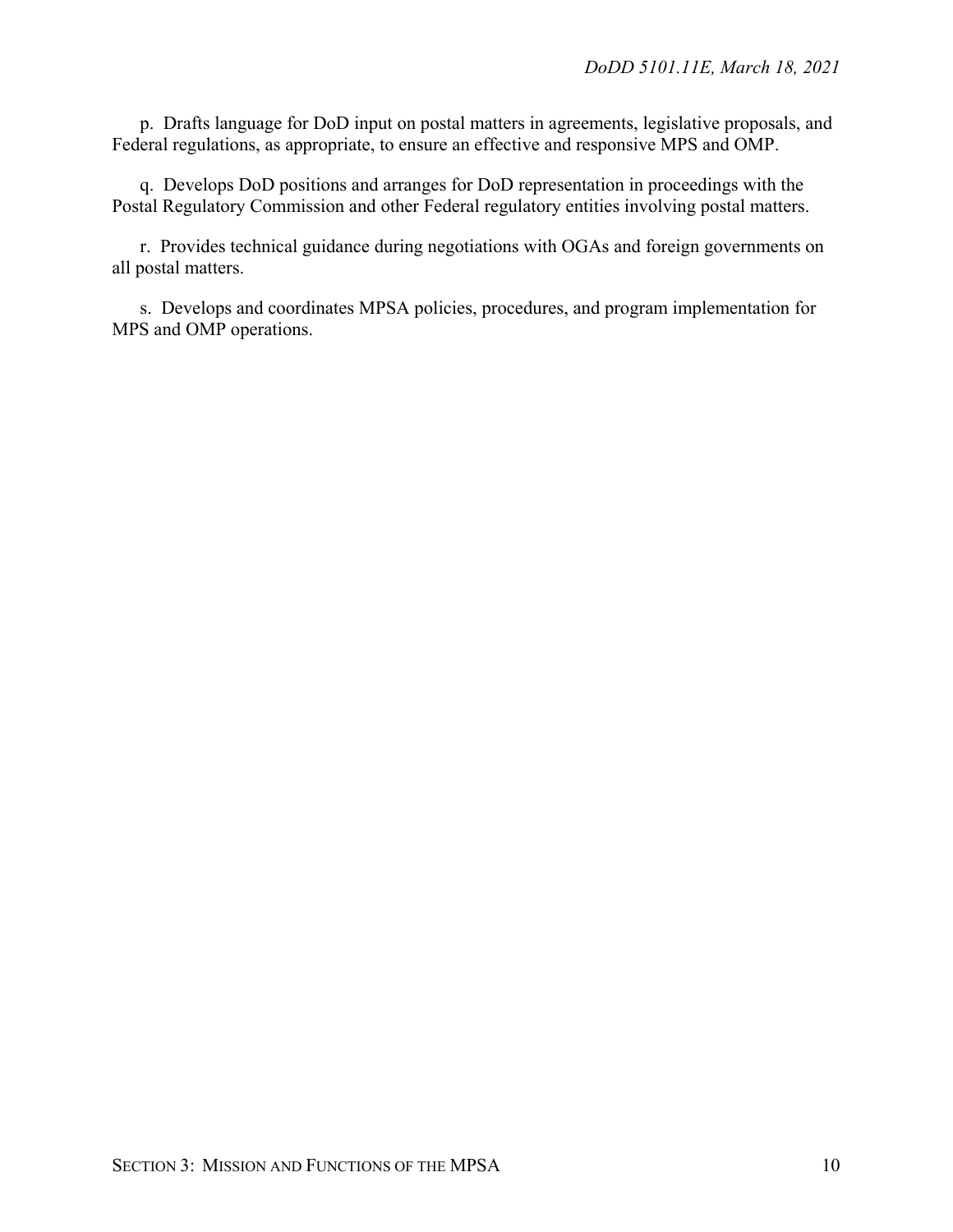p. Drafts language for DoD input on postal matters in agreements, legislative proposals, and Federal regulations, as appropriate, to ensure an effective and responsive MPS and OMP.

q. Develops DoD positions and arranges for DoD representation in proceedings with the Postal Regulatory Commission and other Federal regulatory entities involving postal matters.

r. Provides technical guidance during negotiations with OGAs and foreign governments on all postal matters.

s. Develops and coordinates MPSA policies, procedures, and program implementation for MPS and OMP operations.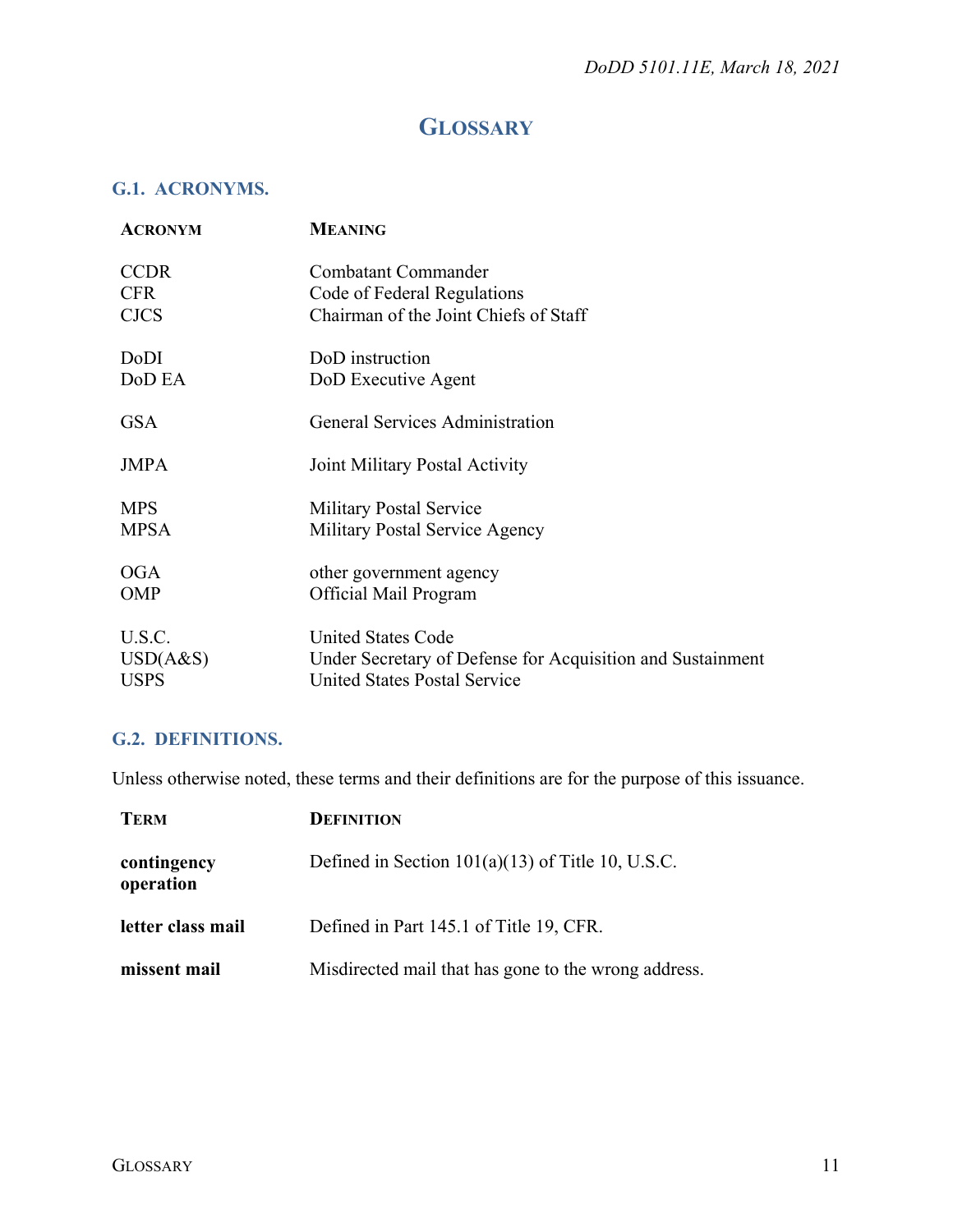## **GLOSSARY**

## <span id="page-10-1"></span><span id="page-10-0"></span>**G.1. ACRONYMS.**

| <b>ACRONYM</b> | <b>MEANING</b>                                             |
|----------------|------------------------------------------------------------|
| <b>CCDR</b>    | Combatant Commander                                        |
| <b>CFR</b>     | Code of Federal Regulations                                |
| <b>CJCS</b>    | Chairman of the Joint Chiefs of Staff                      |
| DoDI           | DoD instruction                                            |
| DoD EA         | DoD Executive Agent                                        |
| <b>GSA</b>     | General Services Administration                            |
| <b>JMPA</b>    | Joint Military Postal Activity                             |
| <b>MPS</b>     | <b>Military Postal Service</b>                             |
| <b>MPSA</b>    | Military Postal Service Agency                             |
| OGA            | other government agency                                    |
| <b>OMP</b>     | Official Mail Program                                      |
| U.S.C.         | <b>United States Code</b>                                  |
| USD(A&S)       | Under Secretary of Defense for Acquisition and Sustainment |
| USPS           | <b>United States Postal Service</b>                        |

## <span id="page-10-2"></span>**G.2. DEFINITIONS.**

Unless otherwise noted, these terms and their definitions are for the purpose of this issuance.

| <b>TERM</b>              | <b>DEFINITION</b>                                    |
|--------------------------|------------------------------------------------------|
| contingency<br>operation | Defined in Section $101(a)(13)$ of Title 10, U.S.C.  |
| letter class mail        | Defined in Part 145.1 of Title 19, CFR.              |
| missent mail             | Misdirected mail that has gone to the wrong address. |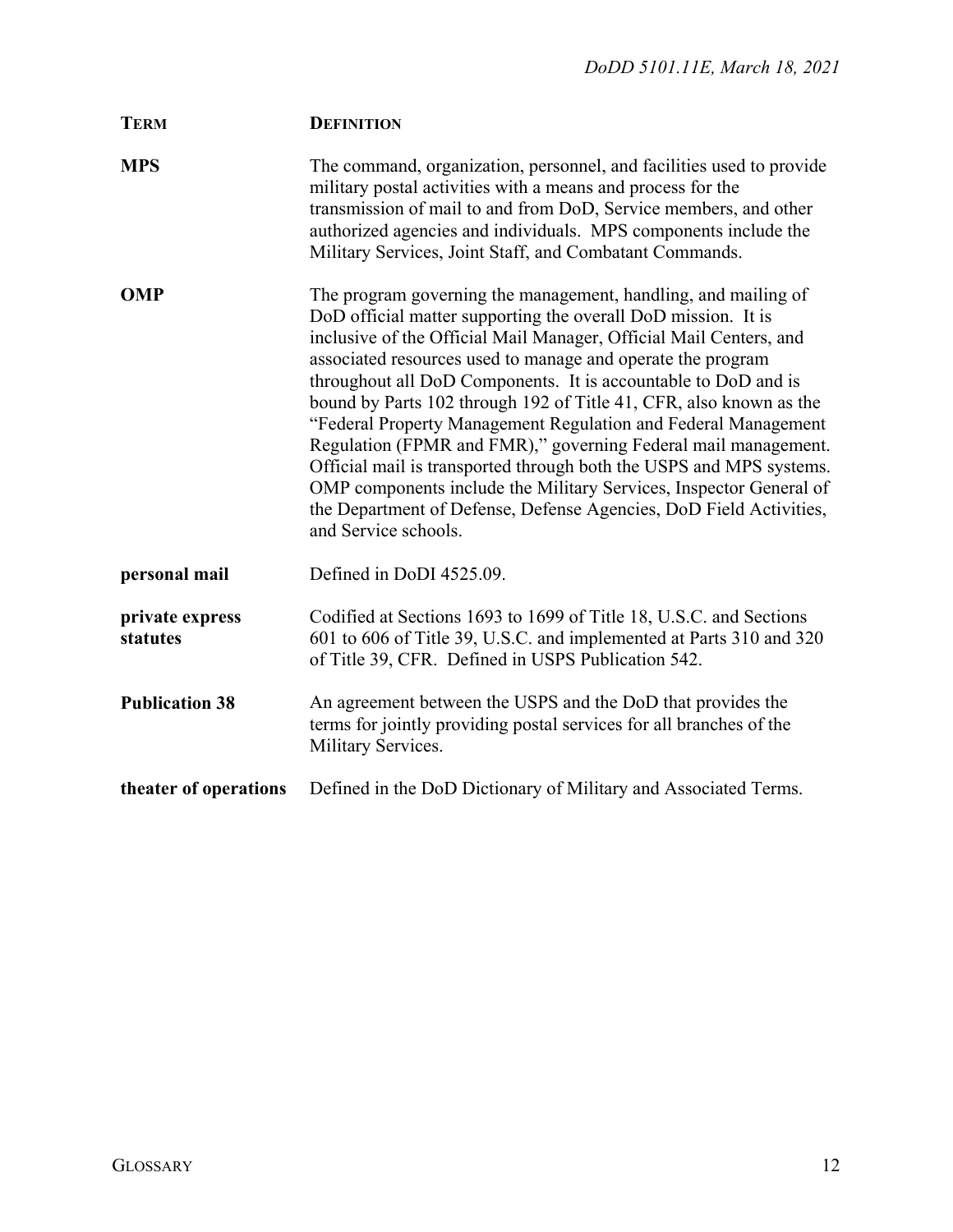| <b>TERM</b>                 | <b>DEFINITION</b>                                                                                                                                                                                                                                                                                                                                                                                                                                                                                                                                                                                                                                                                                                                                                                           |
|-----------------------------|---------------------------------------------------------------------------------------------------------------------------------------------------------------------------------------------------------------------------------------------------------------------------------------------------------------------------------------------------------------------------------------------------------------------------------------------------------------------------------------------------------------------------------------------------------------------------------------------------------------------------------------------------------------------------------------------------------------------------------------------------------------------------------------------|
| <b>MPS</b>                  | The command, organization, personnel, and facilities used to provide<br>military postal activities with a means and process for the<br>transmission of mail to and from DoD, Service members, and other<br>authorized agencies and individuals. MPS components include the<br>Military Services, Joint Staff, and Combatant Commands.                                                                                                                                                                                                                                                                                                                                                                                                                                                       |
| <b>OMP</b>                  | The program governing the management, handling, and mailing of<br>DoD official matter supporting the overall DoD mission. It is<br>inclusive of the Official Mail Manager, Official Mail Centers, and<br>associated resources used to manage and operate the program<br>throughout all DoD Components. It is accountable to DoD and is<br>bound by Parts 102 through 192 of Title 41, CFR, also known as the<br>"Federal Property Management Regulation and Federal Management<br>Regulation (FPMR and FMR)," governing Federal mail management.<br>Official mail is transported through both the USPS and MPS systems.<br>OMP components include the Military Services, Inspector General of<br>the Department of Defense, Defense Agencies, DoD Field Activities,<br>and Service schools. |
| personal mail               | Defined in DoDI 4525.09.                                                                                                                                                                                                                                                                                                                                                                                                                                                                                                                                                                                                                                                                                                                                                                    |
| private express<br>statutes | Codified at Sections 1693 to 1699 of Title 18, U.S.C. and Sections<br>601 to 606 of Title 39, U.S.C. and implemented at Parts 310 and 320<br>of Title 39, CFR. Defined in USPS Publication 542.                                                                                                                                                                                                                                                                                                                                                                                                                                                                                                                                                                                             |
| <b>Publication 38</b>       | An agreement between the USPS and the DoD that provides the<br>terms for jointly providing postal services for all branches of the<br>Military Services.                                                                                                                                                                                                                                                                                                                                                                                                                                                                                                                                                                                                                                    |
| theater of operations       | Defined in the DoD Dictionary of Military and Associated Terms.                                                                                                                                                                                                                                                                                                                                                                                                                                                                                                                                                                                                                                                                                                                             |